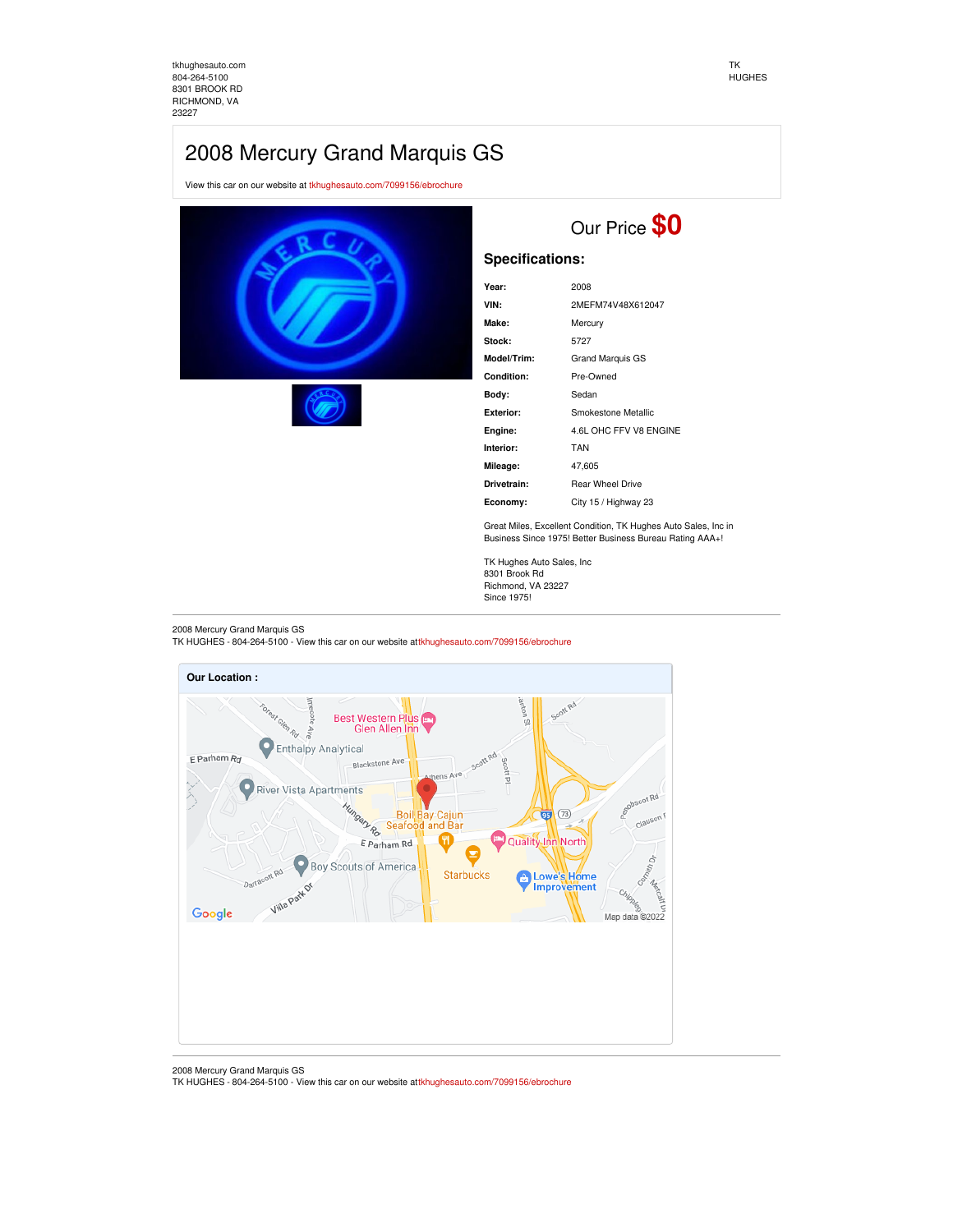[tkhughesauto.com](https://tkhughesauto.com/) [804-264-5100](tel:804-264-5100) 8301 BROOK RD RICHMOND, VA 23227

# 2008 Mercury Grand Marquis GS

View this car on our website at [tkhughesauto.com/7099156/ebrochure](https://tkhughesauto.com/vehicle/7099156/2008-mercury-grand-marquis-gs-richmond-va-23227/7099156/ebrochure)





## Our Price **\$0**

## **Specifications:**

| Year:       | 2008                    |
|-------------|-------------------------|
| VIN:        | 2MEFM74V48X612047       |
| Make:       | Mercury                 |
| Stock:      | 5727                    |
| Model/Trim: | <b>Grand Marquis GS</b> |
| Condition:  | Pre-Owned               |
| Body:       | Sedan                   |
| Exterior:   | Smokestone Metallic     |
| Engine:     | 4.6L OHC FFV V8 ENGINE  |
| Interior:   | <b>TAN</b>              |
| Mileage:    | 47,605                  |
| Drivetrain: | <b>Rear Wheel Drive</b> |
| Economy:    | City 15 / Highway 23    |
|             |                         |

Great Miles, Excellent Condition, TK Hughes Auto Sales, Inc in Business Since 1975! Better Business Bureau Rating AAA+!

TK Hughes Auto Sales, Inc 8301 Brook Rd Richmond, VA 23227 Since 1975!

2008 Mercury Grand Marquis GS TK HUGHES - 804-264-5100 - View this car on our website at[tkhughesauto.com/7099156/ebrochure](https://tkhughesauto.com/vehicle/7099156/2008-mercury-grand-marquis-gs-richmond-va-23227/7099156/ebrochure)



<sup>2008</sup> Mercury Grand Marquis GS

TK HUGHES - 804-264-5100 - View this car on our website at[tkhughesauto.com/7099156/ebrochure](https://tkhughesauto.com/vehicle/7099156/2008-mercury-grand-marquis-gs-richmond-va-23227/7099156/ebrochure)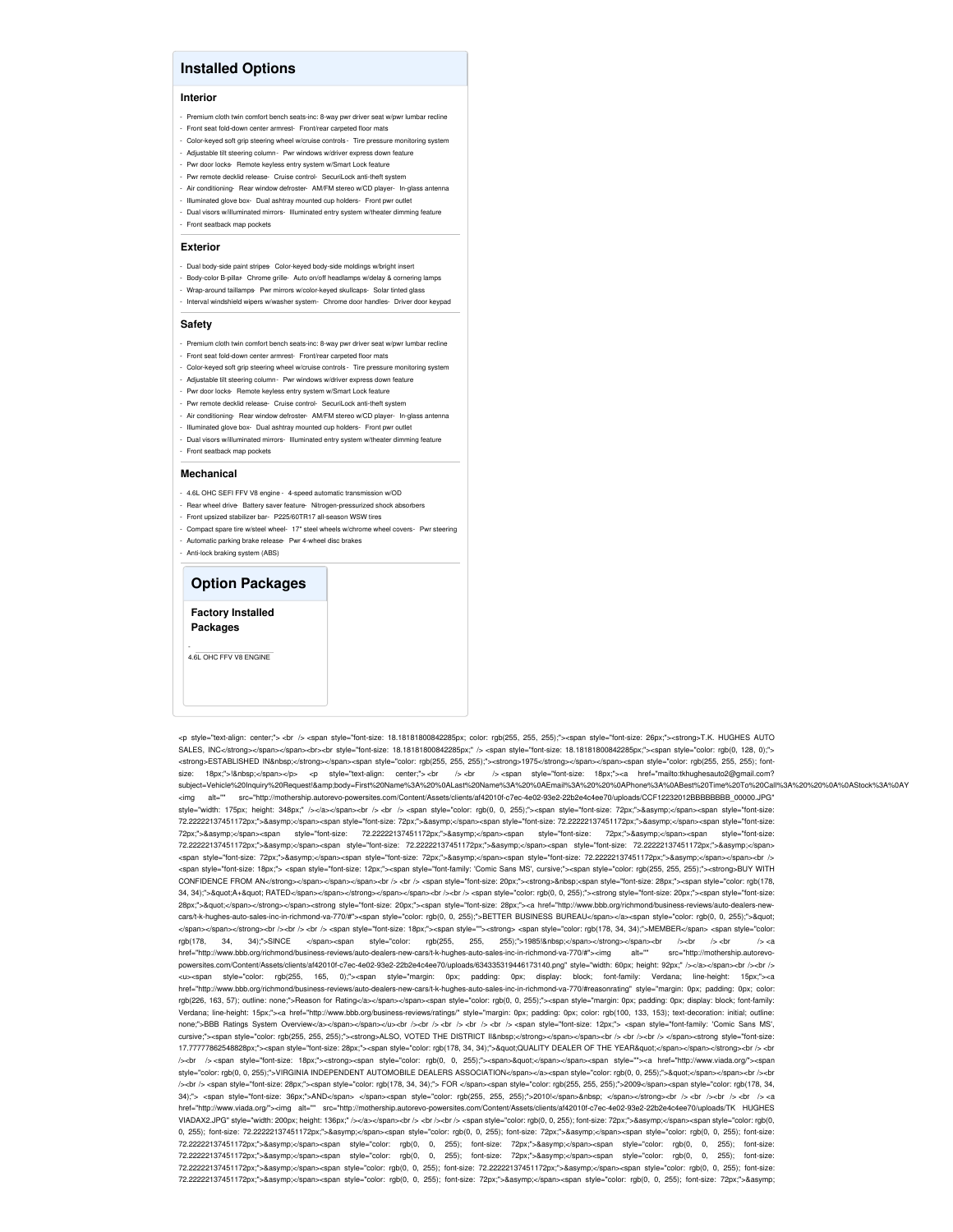## **Installed Options**

#### **Interior**

- Premium cloth twin comfort bench seats-inc: 8-way pwr driver seat w/pwr lumbar recline
- Front seat fold-down center armrest- Front/rear carpeted floor mats
- Color-keyed soft grip steering wheel w/cruise controls Tire pressure monitoring system - Adjustable tilt steering column- Pwr windows w/driver express down feature
- Pwr door locks- Remote keyless entry system w/Smart Lock feature
- Pwr remote decklid release- Cruise control- SecuriLock anti-theft system
- Air conditioning- Rear window defroster- AM/FM stereo w/CD player- In-glass ant
- Illuminated glove box- Dual ashtray mounted cup holders- Front pwr outlet
- Dual visors w/illuminated mirrors- Illuminated entry system w/theater dimming feature
- Front seatback map pockets

### **Exterior**

- Dual body-side paint stripes- Color-keyed body-side moldings w/bright insert
- Body-color B-pillar- Chrome grille- Auto on/off headlamps w/delay & cornering lamp
- Wrap-around taillamps- Pwr mirrors w/color-keyed skullcaps- Solar tinted glass - Interval windshield wipers w/washer system- Chrome door handles- Driver door keypad

#### **Safety**

- Premium cloth twin comfort bench seats-inc: 8-way pwr driver seat w/pwr lumbar recline
- Front seat fold-down center armrest- Front/rear carpeted floor mats
- Color-keyed soft grip steering wheel w/cruise controls Tire pressure monitoring system
- Adjustable tilt steering column- Pwr windows w/driver express down feature
- Pwr door locks- Remote keyless entry system w/Smart Lock feature
- Pwr remote decklid release- Cruise control- SecuriLock anti-theft system -<br>Air conditioning- Rear window defroster- AM/FM stereo w/CD player- In-glass ante
- Illuminated glove box- Dual ashtray mounted cup holders- Front pwr outlet
- Dual visors w/illuminated mirrors- Illuminated entry system w/theater dimming feature
- Front seatback map pockets
- 

#### **Mechanical**

- 4.6L OHC SEFI FFV V8 engine 4-speed automatic transmission w/OD
- Rear wheel drive- Battery saver feature- Nitrogen-pressurized shock absor
- Front upsized stabilizer bar- P225/60TR17 all-season WSW tires
- Compact spare tire w/steel wheel- 17" steel wheels w/chrome wheel covers- Pwr steering - Automatic parking brake release- Pwr 4-wheel disc brakes
- Anti-lock braking system (ABS)
- 

### **Option Packages**

**Factory Installed Packages**

- 4.6L OHC FFV V8 ENGINE

<p style="text-align: center;"> <br /> <span style="font-size: 18.18181800842285px; color: rgb(255, 255, 255);"><span style="font-size: 26px;"><strong>T.K. HUGHES AUTO SALES, INC</strong></span></span><br><br style="font-size: 18.18181800842285px;" /> <span style="font-size: 18.18181800842285px;"><span style="color: rgb(0, 128, 0);"> <strong>ESTABLISHED IN&nbsp;</strong></span><span style="color: rgb(255, 255); 55); </strong></span></span></span></span></span></span></span></span></span></span style="color: rgb(255, 255); fontsize: 18px;">! </span></p> <p style="text-align: center;"> <br />> <br />> <span style="font-size: 18px;"><a href="mailto:tkhughesauto2@gmail.com? subiect=Vehicle%20Inquirv%20Request!&amp:body=First%20Name%3A%20%0ALast%20Name%3A%20%0AEmail%3A%20%20%0APhone%3A%0ABest%20Time%20To%20Call%3A%20%20%0AStock%3A%0AY <img alt="" src="http://mothership.autorevo-powersites.com/Content/Assets/clients/af42010f-c7ec-4e02-93e2-22b2e4c4ee70/uploads/CCF12232012BBBBBBBB\_00000.JPG" style="width: 175px; height: 348px;" /></a></span><br />> <br />> <pr />span style="color: rgb(0, 0, 255);"><span style="font-size: 72px;">&asymp;</span><span style="font-size: 72.22222137451172px;">≈</span><span style="font-size: 72px;">&asymp;</span><span style="font-size: 72.2222137451172px;">&asymp;</span><span style="font-size: 72px;">≈</span><span style="font-size: 72.22222137451172px;">&asymp;</span><span style="font-size: 72px;">&asymp;</span><span style="font-size: 72.22222137451172px;">≈</span><span style="font-size: 72.22222137451172px;">&asymp;</span><span style="font-size: 72.22222137451172px;">&asymp;</span> <span style="font-size: 72px;">&asymp;</span><span style="font-size: 72px;">&asymp;</span><span style="font-size: 72.22222137451172px;">&asymp;</span></span></span></> <span style="font-size: 18px;"> <span style="font-size: 12px;"><span style="font-family: 'Comic Sans MS', cursive;"><span style="color: rgb(255, 255, 255);"><strong>BUY WITH CONFIDENCE FROM AN</strong></span></span></span><br />><br />
cspan style="font-size: 20px;"><span style="font-size: 20px;"><span style="font-size: 28px;"><span style="color: rgb(178, 34, 34);">"A+" RATED</span></span></span></span><br />>/>><br />><br />>><br />p></span style="color: rgb(0, 0, 255);"><strong style="font-size: 20px;"><span style="font-size: 28px;">&quot;</span></strong></span><strong style="font-size: 20px;"><span style="font-size: 28px;"><a href="http://www.bbb.org/richmond/business-reviews/auto-dealers-newcars/t-k-hughes-auto-sales-inc-in-richmond-va-770/#"><span style="color: rgb(0, 0, 255);">BETTER BUSINESS BUREAU</span></a><span style="color: rgb(0, 0, 255);">&quot; </span></span></strong><br /><br /> <br /> <span style="font-size: 18px;"><span style=""><strong> <span style="color: rgb(178, 34, 34);">MEMBER</span> <span style="color: rgb(178, 34, 34);">SINCE </span><span style="color: rgb(255, 255, 255);">1985!&nbsp;</span></strong></span><br/>-br /><br />>/></span />></span /> href="http://www.bbb.org/richmond/business-reviews/auto-dealers-new-cars/t-k-hughes-auto-sales-inc-in-richmond-va-770/#"><img alt="" src="http://mothership.autorevopowersites.com/Content/Assets/clients/af42010f-c7ec-4e02-93e2-22b2e4c4ee70/uploads/634335319446173140.png" style="width: 60px; height: 92px;" /></a></span><br /><br /></ <u><span style="color: rgb(255, 165, 0);"><span style="margin: 0px; padding: 0px; display: block; font-family: Verdana; line-height: 15px;"><a href="http://www.bbb.org/richmond/business-reviews/auto-dealers-new-cars/t-k-hughes-auto-sales-inc-in-richmond-va-770/#reasonrating" style="margin: 0px; padding: 0px; color: rgb(226, 163, 57); outline: none;">Reason for Rating</a></span></span><span style="color: rgb(0, 0, 255);"><span style="margin: 0px; padding: 0px; display: block; font-family: Verdana; line-height: 15px;"><a href="http://www.bbb.org/business-reviews/ratings/" style="margin: 0px; padding: 0px; color: rgb(100, 133, 153); text-decoration: initial; outline none;">BBB Ratings System Overview</a></span></span></u>>dv />>br /> <br />> <br /> <br /> <br /><br /> <br /><br />><<<<<<<<</>
/>
span style="font-size: 12px;"> <span style="font-family: 'Comic Sans MS', cursive;"><span style="color: rgb(255, 255, 255);"><strong>ALSO, VOTED THE DISTRICT II&nbsp:</strong></span></span></span></pr />>/span></pr />/style="sqan></span></span></span></span></span></span></span></span></span></s 17.77777862548828px;"><span style="font-size: 28px;"><span style="color: rgb(178, 34, 34);">&quot;QUALITY DEALER OF THE YEAR&quot;</span></span></strong><br />br /><br /> /><br /> <span style="font-size: 18px;"><strong><span style="color: rgb(0, 0, 255);"><span>&quot;</span></span><span style=""><a href="http://www.viada.org/"><span style="color: rgb(0, 0, 255);">VIRGINIA INDEPENDENT AUTOMOBILE DEALERS ASSOCIATION</span></a>span>style="color: rgb(0, 0, 255);">&quot;</span></span></span></span>> /><br /> <span style="font-size: 28px;"><span style="color: rgb(178, 34, 34);"> FOR </span><span style="color: rgb(255, 255, 255);">2009</span><span style="color: rgb(178, 34,  $34$ );"> <span style="font-size:  $36px$ ;">AND</span> </span><span style="color: rgb(255, 255, 255);">2010!</span>&nbsp; </span></strong><br />br /> <br />br />><br />br />></span></span style="cont-span style="cont: rgb(25 href="http://www.viada.org/"><img alt="" src="http://mothership.autorevo-powersites.com/Content/Assets/clients/af42010f-c7ec-4e02-93e2-22b2e4c4ee70/uploads/TK HUGHES VIADAX2.JPG" style="width: 200px; height: 136px;" /></a></span><br />br /><br />br />><br />pspan style="color: rgb(0, 0, 255); font-size: 72px;">&asymp;</span><span style="color: rgb(0, 0, 255); font-size: 72.2222137451172px;">≈</span><span style="color: rgb(0, 0, 255); font-size: 72px;">&asymp;</span><span style="color: rgb(0, 0, 255); font-size: 72.22222137451172px;">≈</span><span style="color: rgb(0, 0, 255); font-size: 72px;">&asymp;</span><span style="color: rgb(0, 0, 255); font-size: 72.22222137451172px;">≈</span><span style="color: rgb(0, 0, 255); font-size: 72px;">&asymp;</span><span style="color: rgb(0, 0, 255); font-size: 72.22222137451172px;">≈</span><span style="color: rgb(0, 0, 255); font-size: 72.22222137451172px;">&asymp;</span><span style="color: rgb(0, 0, 255); font-size: 72.22222137451172px;">≈</span><span style="color: rgb(0, 0, 255); font-size: 72px;">&asymp;</span><span style="color: rgb(0, 0, 255); font-size: 72px;">&asymp;